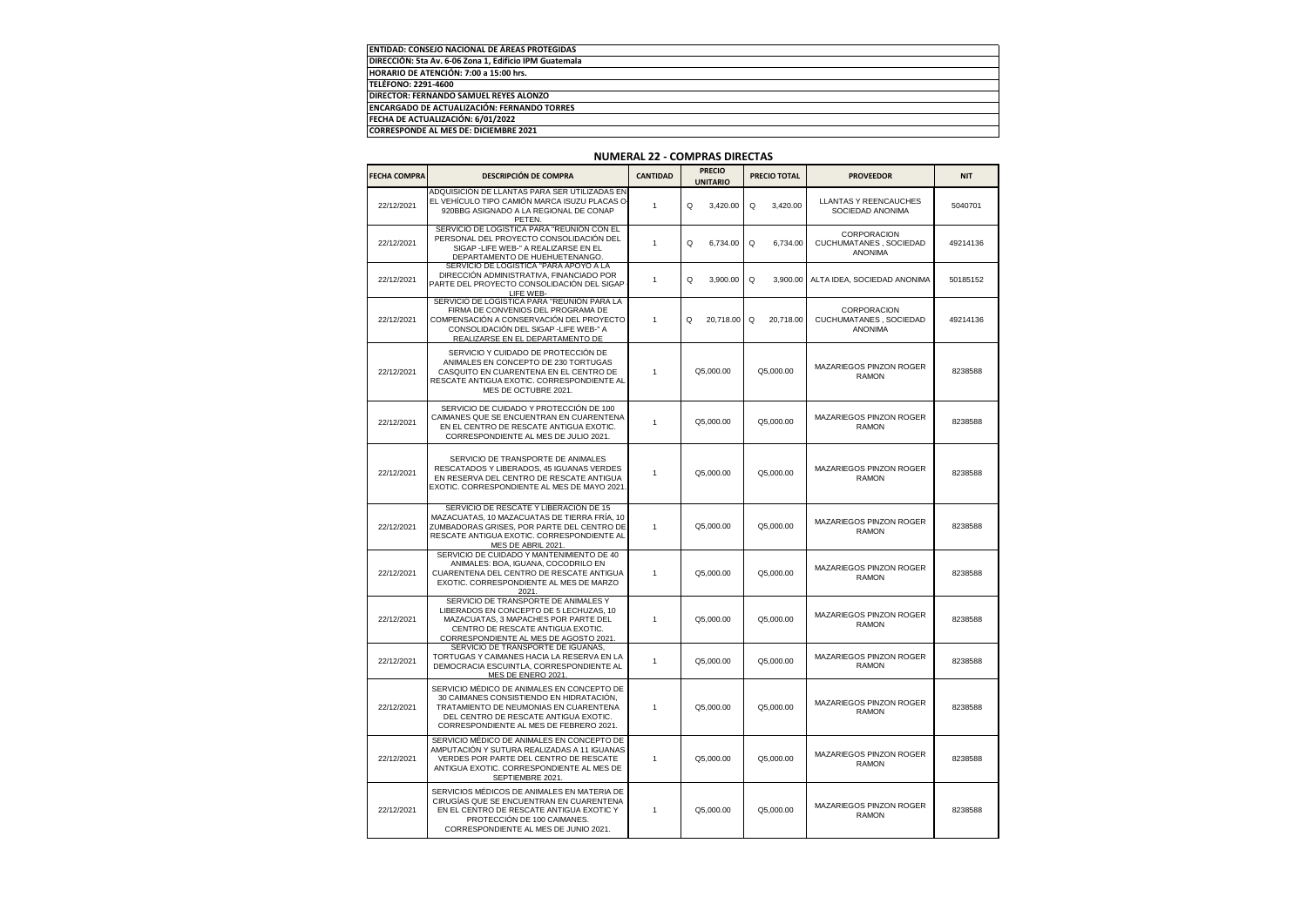| <b>ENTIDAD: CONSEJO NACIONAL DE ÁREAS PROTEGIDAS</b>   |  |
|--------------------------------------------------------|--|
| DIRECCIÓN: 5ta Av. 6-06 Zona 1. Edificio IPM Guatemala |  |
| HORARIO DE ATENCIÓN: 7:00 a 15:00 hrs.                 |  |
| TELÉFONO: 2291-4600                                    |  |
| DIRECTOR: FERNANDO SAMUEL REYES ALONZO                 |  |
| <b>ENCARGADO DE ACTUALIZACIÓN: FERNANDO TORRES</b>     |  |
| FECHA DE ACTUALIZACIÓN: 6/01/2022                      |  |
| CORRESPONDE AL MES DE: DICIEMBRE 2021                  |  |

| <b>FECHA COMPRA</b> | <b>DESCRIPCIÓN DE COMPRA</b>                                                                                                                                                                                         | <b>CANTIDAD</b> |   | <b>PRECIO</b><br><b>UNITARIO</b> | PRECIO TOTAL |           | <b>PROVEEDOR</b>                                         | <b>NIT</b> |
|---------------------|----------------------------------------------------------------------------------------------------------------------------------------------------------------------------------------------------------------------|-----------------|---|----------------------------------|--------------|-----------|----------------------------------------------------------|------------|
| 22/12/2021          | ADQUISICIÓN DE LLANTAS PARA SER UTILIZADAS EN<br>EL VEHÍCULO TIPO CAMIÓN MARCA ISUZU PLACAS O-<br>920BBG ASIGNADO A LA REGIONAL DE CONAP<br>PETEN.                                                                   | $\mathbf{1}$    | Q | 3,420.00                         | Q            | 3,420.00  | <b>LLANTAS Y REENCAUCHES</b><br>SOCIEDAD ANONIMA         | 5040701    |
| 22/12/2021          | SERVICIO DE LOGÍSTICA PARA "REUNIÓN CON EL<br>PERSONAL DEL PROYECTO CONSOLIDACIÓN DEL<br>SIGAP - LIFE WEB-" A REALIZARSE EN EL<br>DEPARTAMENTO DE HUEHUETENANGO.                                                     | $\mathbf{1}$    | Q | 6.734.00                         | Q            | 6.734.00  | CORPORACION<br>CUCHUMATANES . SOCIEDAD<br><b>ANONIMA</b> | 49214136   |
| 22/12/2021          | SERVICIO DE LOGISTICA "PARA APOYO A LA<br>DIRECCIÓN ADMINISTRATIVA, FINANCIADO POR<br>PARTE DEL PROYECTO CONSOLIDACIÓN DEL SIGAP<br>LIFE WEB-<br>SERVICIO DE LOGÍSTICA PARA "REUNIÓN PARA LA                         | $\overline{1}$  | Q | 3,900.00                         | Q            | 3,900.00  | ALTA IDEA, SOCIEDAD ANONIMA                              | 50185152   |
| 22/12/2021          | FIRMA DE CONVENIOS DEL PROGRAMA DE<br>COMPENSACIÓN A CONSERVACIÓN DEL PROYECTO<br>CONSOLIDACIÓN DEL SIGAP - LIFE WEB-" A<br>REALIZARSE EN EL DEPARTAMENTO DE                                                         | 1               | Q | 20,718.00                        | Q            | 20,718.00 | CORPORACION<br>CUCHUMATANES, SOCIEDAD<br><b>ANONIMA</b>  | 49214136   |
| 22/12/2021          | SERVICIO Y CUIDADO DE PROTECCIÓN DE<br>ANIMALES EN CONCEPTO DE 230 TORTUGAS<br>CASQUITO EN CUARENTENA EN EL CENTRO DE<br>RESCATE ANTIGUA EXOTIC. CORRESPONDIENTE AL<br>MES DE OCTUBRE 2021.                          | -1              |   | Q5,000.00                        |              | Q5,000.00 | MAZARIEGOS PINZON ROGER<br><b>RAMON</b>                  | 8238588    |
| 22/12/2021          | SERVICIO DE CUIDADO Y PROTECCIÓN DE 100<br>CAIMANES QUE SE ENCUENTRAN EN CUARENTENA<br>EN EL CENTRO DE RESCATE ANTIGUA EXOTIC.<br>CORRESPONDIENTE AL MES DE JULIO 2021.                                              | $\mathbf{1}$    |   | Q5,000.00                        | Q5,000.00    |           | MAZARIEGOS PINZON ROGER<br><b>RAMON</b>                  | 8238588    |
| 22/12/2021          | SERVICIO DE TRANSPORTE DE ANIMALES<br>RESCATADOS Y LIBERADOS, 45 IGUANAS VERDES<br>EN RESERVA DEL CENTRO DE RESCATE ANTIGUA<br>EXOTIC. CORRESPONDIENTE AL MES DE MAYO 2021                                           | 1               |   | Q5,000.00                        |              | Q5,000.00 | MAZARIEGOS PINZON ROGER<br><b>RAMON</b>                  | 8238588    |
| 22/12/2021          | SERVICIO DE RESCATE Y LIBERACIÓN DE 15<br>MAZACUATAS, 10 MAZACUATAS DE TIERRA FRÍA, 10<br>ZUMBADORAS GRISES, POR PARTE DEL CENTRO DE<br>RESCATE ANTIGUA EXOTIC. CORRESPONDIENTE AL<br>MES DE ABRIL 2021.             | 1               |   | Q5.000.00                        |              | Q5.000.00 | MAZARIEGOS PINZON ROGER<br><b>RAMON</b>                  | 8238588    |
| 22/12/2021          | SERVICIO DE CUIDADO Y MANTENIMIENTO DE 40<br>ANIMALES: BOA, IGUANA, COCODRILO EN<br>CUARENTENA DEL CENTRO DE RESCATE ANTIGUA<br>EXOTIC. CORRESPONDIENTE AL MES DE MARZO<br>2021                                      | $\mathbf{1}$    |   | Q5,000.00                        |              | Q5,000.00 | MAZARIEGOS PINZON ROGER<br><b>RAMON</b>                  | 8238588    |
| 22/12/2021          | SERVICIO DE TRANSPORTE DE ANIMALES Y<br>LIBERADOS EN CONCEPTO DE 5 LECHUZAS, 10<br>MAZACUATAS, 3 MAPACHES POR PARTE DEL<br>CENTRO DE RESCATE ANTIGUA EXOTIC.<br>CORRESPONDIENTE AL MES DE AGOSTO 2021                | 1               |   | Q5,000.00                        |              | Q5,000.00 | MAZARIEGOS PINZON ROGER<br><b>RAMON</b>                  | 8238588    |
| 22/12/2021          | SERVICIO DE TRANSPORTE DE IGUANAS,<br>TORTUGAS Y CAIMANES HACIA LA RESERVA EN LA<br>DEMOCRACIA ESCUINTLA, CORRESPONDIENTE AL<br>MES DE ENERO 2021                                                                    | 1               |   | Q5,000.00                        |              | Q5,000.00 | MAZARIEGOS PINZON ROGER<br><b>RAMON</b>                  | 8238588    |
| 22/12/2021          | SERVICIO MÉDICO DE ANIMALES EN CONCEPTO DE<br>30 CAIMANES CONSISTIENDO EN HIDRATACIÓN,<br>TRATAMIENTO DE NEUMONIAS EN CUARENTENA<br>DEL CENTRO DE RESCATE ANTIGUA EXOTIC.<br>CORRESPONDIENTE AL MES DE FEBRERO 2021. | -1              |   | Q5,000.00                        |              | Q5,000.00 | MAZARIEGOS PINZON ROGER<br><b>RAMON</b>                  | 8238588    |
| 22/12/2021          | SERVICIO MÉDICO DE ANIMALES EN CONCEPTO DE<br>AMPUTACIÓN Y SUTURA REALIZADAS A 11 IGUANAS<br>VERDES POR PARTE DEL CENTRO DE RESCATE<br>ANTIGUA EXOTIC. CORRESPONDIENTE AL MES DE<br>SEPTIEMBRE 2021.                 | 1               |   | Q5,000.00                        |              | Q5,000.00 | MAZARIEGOS PINZON ROGER<br><b>RAMON</b>                  | 8238588    |
| 22/12/2021          | SERVICIOS MÉDICOS DE ANIMALES EN MATERIA DE<br>CIRUGÍAS QUE SE ENCUENTRAN EN CUARENTENA<br>EN EL CENTRO DE RESCATE ANTIGUA EXOTIC Y<br>PROTECCIÓN DE 100 CAIMANES.<br>CORRESPONDIENTE AL MES DE JUNIO 2021.          | 1               |   | Q5,000.00                        |              | Q5,000.00 | MAZARIEGOS PINZON ROGER<br><b>RAMON</b>                  | 8238588    |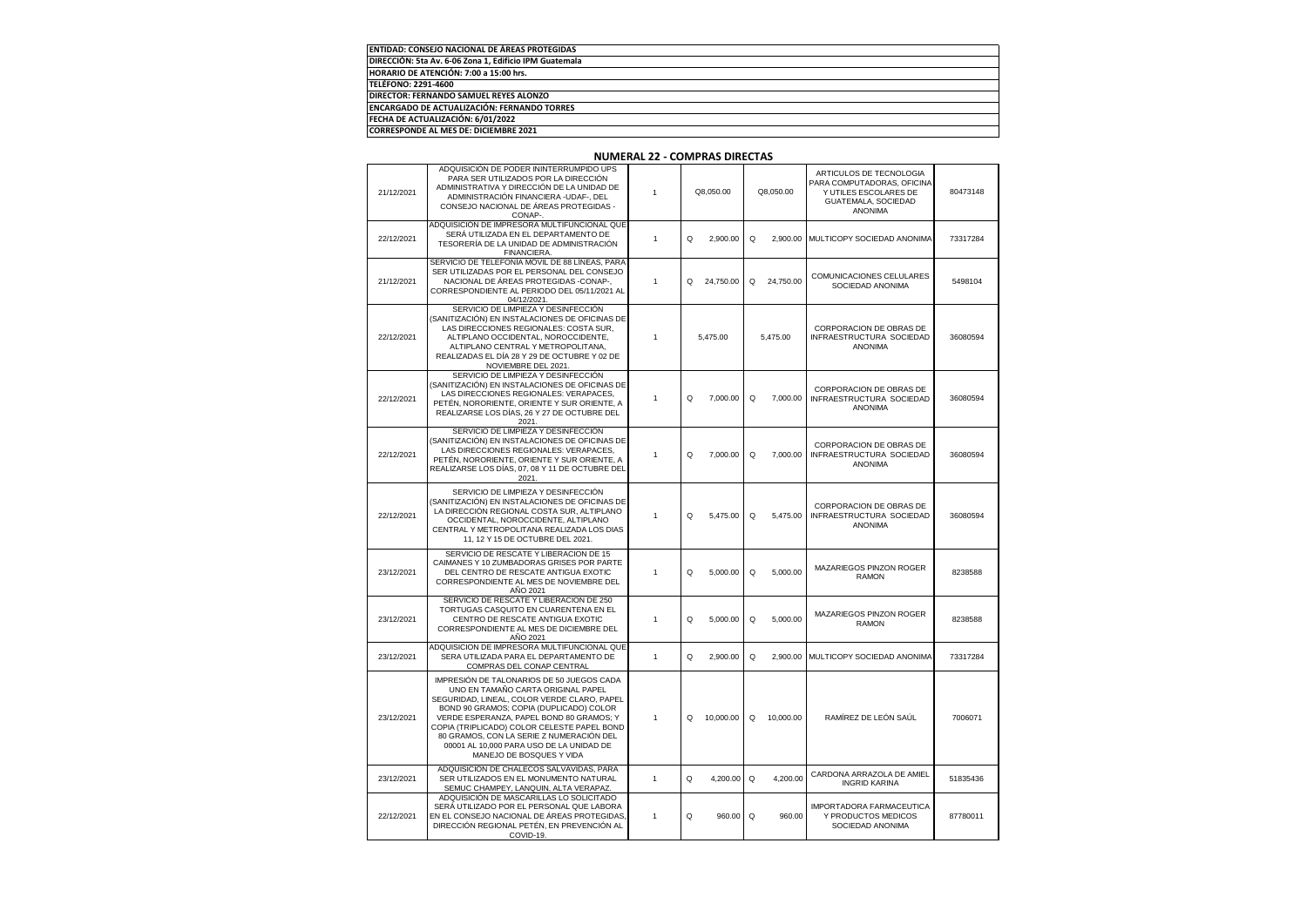| <b>ENTIDAD: CONSEJO NACIONAL DE ÁREAS PROTEGIDAS</b>   |
|--------------------------------------------------------|
| DIRECCIÓN: 5ta Av. 6-06 Zona 1, Edificio IPM Guatemala |
| HORARIO DE ATENCIÓN: 7:00 a 15:00 hrs.                 |
| TELÉFONO: 2291-4600                                    |
| DIRECTOR: FERNANDO SAMUEL REYES ALONZO                 |
| ENCARGADO DE ACTUALIZACIÓN: FERNANDO TORRES            |
| FECHA DE ACTUALIZACIÓN: 6/01/2022                      |
| <b>CORRESPONDE AL MES DE: DICIEMBRE 2021</b>           |

| 21/12/2021 | ADQUISICIÓN DE PODER ININTERRUMPIDO UPS<br>PARA SER UTILIZADOS POR LA DIRECCIÓN<br>ADMINISTRATIVA Y DIRECCIÓN DE LA UNIDAD DE<br>ADMINISTRACIÓN FINANCIERA - UDAF-, DEL<br>CONSEJO NACIONAL DE ÁREAS PROTEGIDAS -<br>CONAP-                                                                                                                                                              | 1            | Q8,050.00      | Q8,050.00      | ARTICULOS DE TECNOLOGIA<br>PARA COMPUTADORAS, OFICINA<br>Y UTILES ESCOLARES DE<br>GUATEMALA, SOCIEDAD<br><b>ANONIMA</b> | 80473148 |
|------------|------------------------------------------------------------------------------------------------------------------------------------------------------------------------------------------------------------------------------------------------------------------------------------------------------------------------------------------------------------------------------------------|--------------|----------------|----------------|-------------------------------------------------------------------------------------------------------------------------|----------|
| 22/12/2021 | ADQUISICIÓN DE IMPRESORA MULTIFUNCIONAL QUE<br>SERÁ UTILIZADA EN EL DEPARTAMENTO DE<br>TESORERÍA DE LA UNIDAD DE ADMINISTRACIÓN<br>FINANCIERA.                                                                                                                                                                                                                                           | 1            | Q<br>2,900.00  | Q<br>2,900.00  | MULTICOPY SOCIEDAD ANONIMA                                                                                              | 73317284 |
| 21/12/2021 | SERVICIO DE TELEFONÍA MÓVIL DE 88 LÍNEAS, PARA<br>SER UTILIZADAS POR EL PERSONAL DEL CONSEJO<br>NACIONAL DE ÁREAS PROTEGIDAS -CONAP-,<br>CORRESPONDIENTE AL PERIODO DEL 05/11/2021 AL<br>04/12/2021.                                                                                                                                                                                     | 1            | Q<br>24,750.00 | Q<br>24,750.00 | COMUNICACIONES CELULARES<br>SOCIEDAD ANONIMA                                                                            | 5498104  |
| 22/12/2021 | SERVICIO DE LIMPIEZA Y DESINFECCIÓN<br>(SANITIZACIÓN) EN INSTALACIONES DE OFICINAS DE<br>LAS DIRECCIONES REGIONALES: COSTA SUR,<br>ALTIPLANO OCCIDENTAL, NOROCCIDENTE,<br>ALTIPLANO CENTRAL Y METROPOLITANA,<br>REALIZADAS EL DÍA 28 Y 29 DE OCTUBRE Y 02 DE<br>NOVIEMBRE DEL 2021.                                                                                                      | 1            | 5,475.00       | 5,475.00       | CORPORACION DE OBRAS DE<br>INFRAESTRUCTURA SOCIEDAD<br><b>ANONIMA</b>                                                   | 36080594 |
| 22/12/2021 | SERVICIO DE LIMPIEZA Y DESINFECCIÓN<br>(SANITIZACIÓN) EN INSTALACIONES DE OFICINAS DE<br>LAS DIRECCIONES REGIONALES: VERAPACES,<br>PETÉN, NORORIENTE, ORIENTE Y SUR ORIENTE, A<br>REALIZARSE LOS DÍAS, 26 Y 27 DE OCTUBRE DEL<br>2021.                                                                                                                                                   | 1            | Q<br>7,000.00  | Q<br>7,000.00  | CORPORACION DE OBRAS DE<br>INFRAESTRUCTURA SOCIEDAD<br><b>ANONIMA</b>                                                   | 36080594 |
| 22/12/2021 | SERVICIO DE LIMPIEZA Y DESINFECCIÓN<br>(SANITIZACIÓN) EN INSTALACIONES DE OFICINAS DE<br>LAS DIRECCIONES REGIONALES: VERAPACES,<br>PETÉN, NORORIENTE, ORIENTE Y SUR ORIENTE, A<br>REALIZARSE LOS DÍAS, 07, 08 Y 11 DE OCTUBRE DEL<br>2021.                                                                                                                                               | 1            | Q<br>7,000.00  | Q<br>7.000.00  | CORPORACION DE OBRAS DE<br>INFRAESTRUCTURA SOCIEDAD<br>ANONIMA                                                          | 36080594 |
| 22/12/2021 | SERVICIO DE LIMPIEZA Y DESINFECCIÓN<br>(SANITIZACIÓN) EN INSTALACIONES DE OFICINAS DE<br>LA DIRECCIÓN REGIONAL COSTA SUR, ALTIPLANO<br>OCCIDENTAL, NOROCCIDENTE, ALTIPLANO<br>CENTRAL Y METROPOLITANA REALIZADA LOS DIAS<br>11, 12 Y 15 DE OCTUBRE DEL 2021.                                                                                                                             | 1            | Q<br>5,475.00  | 5,475.00<br>Q  | CORPORACION DE OBRAS DE<br>INFRAESTRUCTURA SOCIEDAD<br><b>ANONIMA</b>                                                   | 36080594 |
| 23/12/2021 | SERVICIO DE RESCATE Y LIBERACION DE 15<br>CAIMANES Y 10 ZUMBADORAS GRISES POR PARTE<br>DEL CENTRO DE RESCATE ANTIGUA EXOTIC<br>CORRESPONDIENTE AL MES DE NOVIEMBRE DEL<br>ANO 2021                                                                                                                                                                                                       | 1            | Q<br>5,000.00  | Q<br>5,000.00  | MAZARIEGOS PINZON ROGER<br><b>RAMON</b>                                                                                 | 8238588  |
| 23/12/2021 | SERVICIO DE RESCATE Y LIBERACION DE 250<br>TORTUGAS CASQUITO EN CUARENTENA EN EL<br>CENTRO DE RESCATE ANTIGUA EXOTIC<br>CORRESPONDIENTE AL MES DE DICIEMBRE DEL<br>AÑO 2021                                                                                                                                                                                                              | 1            | Q<br>5.000.00  | Q<br>5.000.00  | MAZARIEGOS PINZON ROGER<br><b>RAMON</b>                                                                                 | 8238588  |
| 23/12/2021 | ADQUISICION DE IMPRESORA MULTIFUNCIONAL QUE<br>SERA UTILIZADA PARA EL DEPARTAMENTO DE<br>COMPRAS DEL CONAP CENTRAL                                                                                                                                                                                                                                                                       | $\mathbf{1}$ | Q<br>2,900.00  | Q<br>2.900.00  | MULTICOPY SOCIEDAD ANONIMA                                                                                              | 73317284 |
| 23/12/2021 | IMPRESIÓN DE TALONARIOS DE 50 JUEGOS CADA<br>UNO EN TAMAÑO CARTA ORIGINAL PAPEL<br>SEGURIDAD, LINEAL, COLOR VERDE CLARO, PAPEL<br>BOND 90 GRAMOS; COPIA (DUPLICADO) COLOR<br>VERDE ESPERANZA, PAPEL BOND 80 GRAMOS; Y<br>COPIA (TRIPLICADO) COLOR CELESTE PAPEL BOND<br>80 GRAMOS, CON LA SERIE Z NUMERACIÓN DEL<br>00001 AL 10,000 PARA USO DE LA UNIDAD DE<br>MANEJO DE BOSQUES Y VIDA | 1            | 10,000.00<br>Q | Q<br>10,000.00 | RAMÍREZ DE LEÓN SAÚL                                                                                                    | 7006071  |
| 23/12/2021 | ADQUISICIÓN DE CHALECOS SALVAVIDAS, PARA<br>SER UTILIZADOS EN EL MONUMENTO NATURAL<br>SEMUC CHAMPEY, LANQUIN, ALTA VERAPAZ                                                                                                                                                                                                                                                               | 1            | Q<br>4,200.00  | Q<br>4,200.00  | CARDONA ARRAZOLA DE AMIEL<br><b>INGRID KARINA</b>                                                                       | 51835436 |
| 22/12/2021 | ADQUISICIÓN DE MASCARILLAS LO SOLICITADO<br>SERÁ UTILIZADO POR EL PERSONAL QUE LABORA<br>EN EL CONSEJO NACIONAL DE ÁREAS PROTEGIDAS.<br>DIRECCIÓN REGIONAL PETÉN, EN PREVENCIÓN AL<br>COVID-19.                                                                                                                                                                                          | 1            | Q<br>960.00    | Q<br>960.00    | IMPORTADORA FARMACEUTICA<br>Y PRODUCTOS MEDICOS<br>SOCIEDAD ANONIMA                                                     | 87780011 |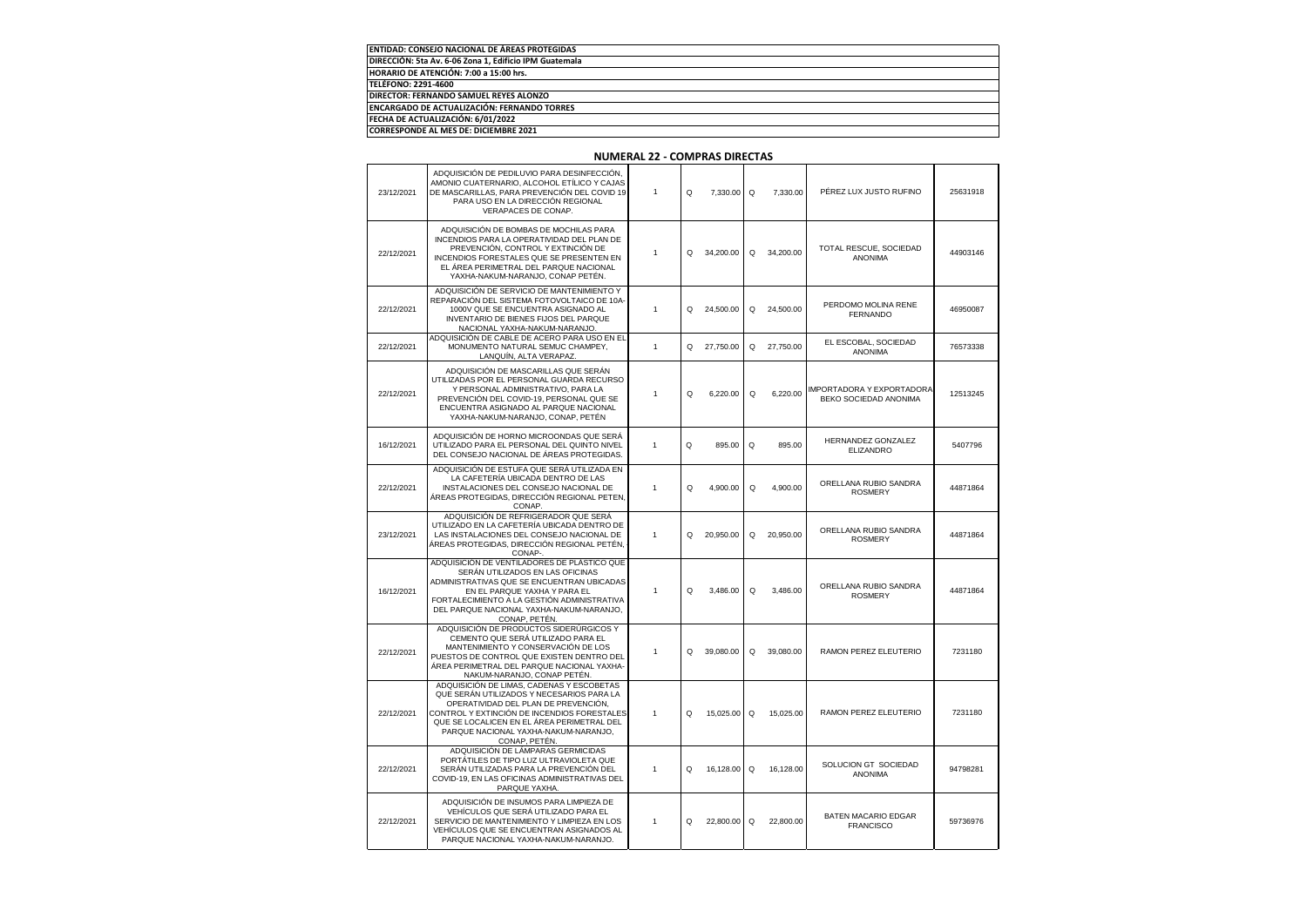| ENTIDAD: CONSEJO NACIONAL DE ÁREAS PROTEGIDAS          |
|--------------------------------------------------------|
| DIRECCIÓN: 5ta Av. 6-06 Zona 1, Edificio IPM Guatemala |
| HORARIO DE ATENCIÓN: 7:00 a 15:00 hrs.                 |
| TELÉFONO: 2291-4600                                    |
| DIRECTOR: FERNANDO SAMUEL REYES ALONZO                 |
| <b>ENCARGADO DE ACTUALIZACIÓN: FERNANDO TORRES</b>     |
| FECHA DE ACTUALIZACIÓN: 6/01/2022                      |
| <b>CORRESPONDE AL MES DE: DICIEMBRE 2021</b>           |

| 23/12/2021 | ADQUISICIÓN DE PEDILUVIO PARA DESINFECCIÓN,<br>AMONIO CUATERNARIO, ALCOHOL ETÍLICO Y CAJAS<br>DE MASCARILLAS, PARA PREVENCIÓN DEL COVID 19<br>PARA USO EN LA DIRECCIÓN REGIONAL<br>VERAPACES DE CONAP.                                                                               | $\overline{1}$ | Q        | 7,330.00  | Q | 7.330.00  | PÉREZ LUX JUSTO RUFINO                             | 25631918 |
|------------|--------------------------------------------------------------------------------------------------------------------------------------------------------------------------------------------------------------------------------------------------------------------------------------|----------------|----------|-----------|---|-----------|----------------------------------------------------|----------|
| 22/12/2021 | ADQUISICIÓN DE BOMBAS DE MOCHILAS PARA<br>INCENDIOS PARA LA OPERATIVIDAD DEL PLAN DE<br>PREVENCIÓN, CONTROL Y EXTINCIÓN DE<br><b>INCENDIOS FORESTALES QUE SE PRESENTEN EN</b><br>EL ÁREA PERIMETRAL DEL PARQUE NACIONAL<br>YAXHA-NAKUM-NARANJO, CONAP PETÉN.                         | $\overline{1}$ | Q        | 34.200.00 | Q | 34,200,00 | TOTAL RESCUE, SOCIEDAD<br><b>ANONIMA</b>           | 44903146 |
| 22/12/2021 | ADQUISICIÓN DE SERVICIO DE MANTENIMIENTO Y<br>REPARACIÓN DEL SISTEMA FOTOVOLTAICO DE 10A-<br>1000V QUE SE ENCUENTRA ASIGNADO AL<br>INVENTARIO DE BIENES FIJOS DEL PARQUE<br>NACIONAL YAXHA-NAKUM-NARANJO.                                                                            | $\mathbf{1}$   | Q        | 24,500.00 | Q | 24,500.00 | PERDOMO MOLINA RENE<br><b>FERNANDO</b>             | 46950087 |
| 22/12/2021 | ADQUISICIÓN DE CABLE DE ACERO PARA USO EN EL<br>MONUMENTO NATURAL SEMUC CHAMPEY,<br>LANQUÍN, ALTA VERAPAZ.                                                                                                                                                                           | $\overline{1}$ | Q        | 27,750.00 | Q | 27.750.00 | EL ESCOBAL, SOCIEDAD<br><b>ANONIMA</b>             | 76573338 |
| 22/12/2021 | ADQUISICIÓN DE MASCARILLAS QUE SERÁN<br>UTILIZADAS POR EL PERSONAL GUARDA RECURSO<br>Y PERSONAL ADMINISTRATIVO, PARA LA<br>PREVENCIÓN DEL COVID-19, PERSONAL QUE SE<br>ENCUENTRA ASIGNADO AL PARQUE NACIONAL<br>YAXHA-NAKUM-NARANJO, CONAP, PETÉN                                    | $\mathbf{1}$   | Q        | 6,220.00  | Q | 6.220.00  | IMPORTADORA Y EXPORTADORA<br>BEKO SOCIEDAD ANONIMA | 12513245 |
| 16/12/2021 | ADQUISICIÓN DE HORNO MICROONDAS QUE SERÁ<br>UTILIZADO PARA EL PERSONAL DEL QUINTO NIVEL<br>DEL CONSEJO NACIONAL DE ÁREAS PROTEGIDAS.                                                                                                                                                 | 1              | Q        | 895.00    | Q | 895.00    | HERNANDEZ GONZALEZ<br><b>ELIZANDRO</b>             | 5407796  |
| 22/12/2021 | ADQUISICIÓN DE ESTUFA QUE SERÁ UTILIZADA EN<br>LA CAFETERÍA UBICADA DENTRO DE LAS<br>INSTALACIONES DEL CONSEJO NACIONAL DE<br>ÁREAS PROTEGIDAS, DIRECCIÓN REGIONAL PETEN,<br>CONAP                                                                                                   | $\overline{1}$ | Q        | 4,900.00  | Q | 4,900.00  | ORELLANA RUBIO SANDRA<br><b>ROSMERY</b>            | 44871864 |
| 23/12/2021 | ADQUISICIÓN DE REFRIGERADOR QUE SERÁ<br>UTILIZADO EN LA CAFETERÍA UBICADA DENTRO DE<br>LAS INSTALACIONES DEL CONSEJO NACIONAL DE<br>ÁREAS PROTEGIDAS, DIRECCIÓN REGIONAL PETÉN,<br>CONAP-                                                                                            | $\mathbf{1}$   | Q        | 20,950.00 | Q | 20.950.00 | ORELLANA RUBIO SANDRA<br><b>ROSMERY</b>            | 44871864 |
| 16/12/2021 | ADQUISICIÓN DE VENTILADORES DE PLÁSTICO QUE<br>SERÁN UTILIZADOS EN LAS OFICINAS<br>ADMINISTRATIVAS QUE SE ENCUENTRAN UBICADAS<br>EN EL PARQUE YAXHA Y PARA EL<br>FORTALECIMIENTO A LA GESTIÓN ADMINISTRATIVA<br>DEL PARQUE NACIONAL YAXHA-NAKUM-NARANJO,<br>CONAP, PETÉN.            | $\overline{1}$ | Q        | 3.486.00  | Q | 3.486.00  | ORELLANA RUBIO SANDRA<br><b>ROSMERY</b>            | 44871864 |
| 22/12/2021 | ADQUISICIÓN DE PRODUCTOS SIDERÚRGICOS Y<br>CEMENTO QUE SERÁ UTILIZADO PARA EL<br>MANTENIMIENTO Y CONSERVACIÓN DE LOS<br>PUESTOS DE CONTROL QUE EXISTEN DENTRO DEL<br>ÁREA PERIMETRAL DEL PARQUE NACIONAL YAXHA-<br>NAKUM-NARANJO, CONAP PETÉN.                                       | $\overline{1}$ | Q        | 39.080.00 | Q | 39.080.00 | RAMON PEREZ ELEUTERIO                              | 7231180  |
| 22/12/2021 | ADQUISICIÓN DE LIMAS, CADENAS Y ESCOBETAS<br>QUE SERÁN UTILIZADOS Y NECESARIOS PARA LA<br>OPERATIVIDAD DEL PLAN DE PREVENCIÓN,<br>CONTROL Y EXTINCIÓN DE INCENDIOS FORESTALES<br>QUE SE LOCALICEN EN EL ÁREA PERIMETRAL DEL<br>PARQUE NACIONAL YAXHA-NAKUM-NARANJO.<br>CONAP, PETÉN. | $\overline{1}$ | Q        | 15,025.00 | Q | 15,025.00 | RAMON PEREZ ELEUTERIO                              | 7231180  |
| 22/12/2021 | ADQUISICIÓN DE LÁMPARAS GERMICIDAS<br>PORTÁTILES DE TIPO LUZ ULTRAVIOLETA QUE<br>SERÁN UTILIZADAS PARA LA PREVENCIÓN DEL<br>COVID-19, EN LAS OFICINAS ADMINISTRATIVAS DEL<br>PARQUE YAXHA.                                                                                           | $\overline{1}$ | Q        | 16,128.00 | Q | 16,128.00 | SOLUCION GT SOCIEDAD<br>ANONIMA                    | 94798281 |
| 22/12/2021 | ADQUISICIÓN DE INSUMOS PARA LIMPIEZA DE<br>VEHÍCULOS QUE SERÁ UTILIZADO PARA EL<br>SERVICIO DE MANTENIMIENTO Y LIMPIEZA EN LOS<br>VEHÍCULOS QUE SE ENCUENTRAN ASIGNADOS AL<br>PARQUE NACIONAL YAXHA-NAKUM-NARANJO.                                                                   | $\overline{1}$ | $\Omega$ | 22.800.00 | Q | 22.800.00 | BATEN MACARIO EDGAR<br><b>FRANCISCO</b>            | 59736976 |

 $\mathbf{L}$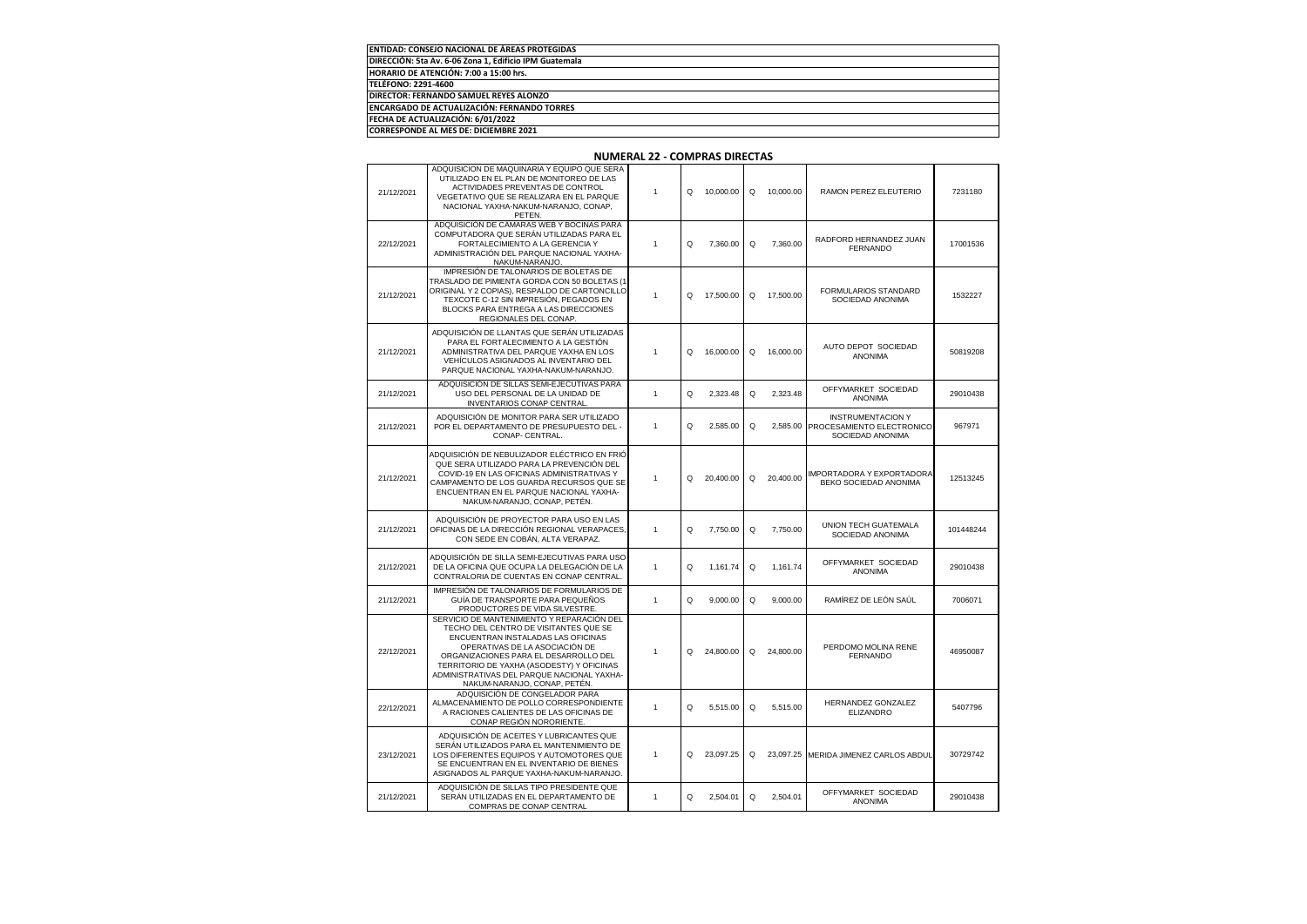| <b>ENTIDAD: CONSEJO NACIONAL DE ÁREAS PROTEGIDAS</b>   |  |
|--------------------------------------------------------|--|
| DIRECCIÓN: 5ta Av. 6-06 Zona 1. Edificio IPM Guatemala |  |
| HORARIO DE ATENCIÓN: 7:00 a 15:00 hrs.                 |  |
| <b>TELÉFONO: 2291-4600</b>                             |  |
| <b>DIRECTOR: FERNANDO SAMUEL REYES ALONZO</b>          |  |
| <b>ENCARGADO DE ACTUALIZACIÓN: FERNANDO TORRES</b>     |  |
| FECHA DE ACTUALIZACIÓN: 6/01/2022                      |  |
| CORRESPONDE AL MES DE: DICIEMBRE 2021                  |  |

| 21/12/2021 | ADQUISICION DE MAQUINARIA Y EQUIPO QUE SERA<br>UTILIZADO EN EL PLAN DE MONITOREO DE LAS<br>ACTIVIDADES PREVENTAS DE CONTROL<br>VEGETATIVO QUE SE REALIZARA EN EL PARQUE<br>NACIONAL YAXHA-NAKUM-NARANJO, CONAP,<br>PETEN.                                                                                                       | 1            | O | 10.000.00 | Q | 10.000.00 | RAMON PEREZ ELEUTERIO                                                     | 7231180   |
|------------|---------------------------------------------------------------------------------------------------------------------------------------------------------------------------------------------------------------------------------------------------------------------------------------------------------------------------------|--------------|---|-----------|---|-----------|---------------------------------------------------------------------------|-----------|
| 22/12/2021 | ADQUISICIÓN DE CÁMARAS WEB Y BOCINAS PARA<br>COMPUTADORA QUE SERÁN UTILIZADAS PARA EL<br>FORTALECIMIENTO A LA GERENCIA Y<br>ADMINISTRACIÓN DEL PARQUE NACIONAL YAXHA-<br>NAKUM-NARANJO.                                                                                                                                         | 1            | Q | 7,360.00  | Q | 7,360.00  | RADFORD HERNANDEZ JUAN<br><b>FERNANDO</b>                                 | 17001536  |
| 21/12/2021 | IMPRESIÓN DE TALONARIOS DE BOLETAS DE<br>TRASLADO DE PIMIENTA GORDA CON 50 BOLETAS (1<br>ORIGINAL Y 2 COPIAS), RESPALDO DE CARTONCILLO<br>TEXCOTE C-12 SIN IMPRESIÓN, PEGADOS EN<br>BLOCKS PARA ENTREGA A LAS DIRECCIONES<br>REGIONALES DEL CONAP.                                                                              | 1            | O | 17,500.00 | Q | 17,500.00 | <b>FORMULARIOS STANDARD</b><br>SOCIEDAD ANONIMA                           | 1532227   |
| 21/12/2021 | ADQUISICIÓN DE LLANTAS QUE SERÁN UTILIZADAS<br>PARA EL FORTALECIMIENTO A LA GESTIÓN<br>ADMINISTRATIVA DEL PARQUE YAXHA EN LOS<br>VEHÍCULOS ASIGNADOS AL INVENTARIO DEL<br>PARQUE NACIONAL YAXHA-NAKUM-NARANJO.                                                                                                                  | 1            | Q | 16,000.00 | Q | 16,000.00 | AUTO DEPOT SOCIEDAD<br><b>ANONIMA</b>                                     | 50819208  |
| 21/12/2021 | ADQUISICIÓN DE SILLAS SEMI-EJECUTIVAS PARA<br>USO DEL PERSONAL DE LA UNIDAD DE<br><b>INVENTARIOS CONAP CENTRAL</b>                                                                                                                                                                                                              | $\mathbf{1}$ | Q | 2,323.48  | Q | 2,323.48  | OFFYMARKET SOCIEDAD<br><b>ANONIMA</b>                                     | 29010438  |
| 21/12/2021 | ADQUISICIÓN DE MONITOR PARA SER UTILIZADO<br>POR EL DEPARTAMENTO DE PRESUPUESTO DEL -<br>CONAP- CENTRAL.                                                                                                                                                                                                                        | 1            | Q | 2,585.00  | Q | 2,585.00  | <b>INSTRUMENTACION Y</b><br>PROCESAMIENTO ELECTRONICO<br>SOCIEDAD ANONIMA | 967971    |
| 21/12/2021 | ADQUISICIÓN DE NEBULIZADOR ELÉCTRICO EN FRIÓ<br>QUE SERA UTILIZADO PARA LA PREVENCIÓN DEL<br>COVID-19 EN LAS OFICINAS ADMINISTRATIVAS Y<br>CAMPAMENTO DE LOS GUARDA RECURSOS QUE SE<br>ENCUENTRAN EN EL PARQUE NACIONAL YAXHA-<br>NAKUM-NARANJO, CONAP, PETÉN.                                                                  | 1            | Q | 20,400.00 | Q | 20,400.00 | IMPORTADORA Y EXPORTADORA<br>BEKO SOCIEDAD ANONIMA                        | 12513245  |
| 21/12/2021 | ADQUISICIÓN DE PROYECTOR PARA USO EN LAS<br>OFICINAS DE LA DIRECCIÓN REGIONAL VERAPACES,<br>CON SEDE EN COBÁN, ALTA VERAPAZ.                                                                                                                                                                                                    | 1            | Q | 7,750.00  | Q | 7,750.00  | <b>UNION TECH GUATEMALA</b><br>SOCIEDAD ANONIMA                           | 101448244 |
| 21/12/2021 | ADQUISICIÓN DE SILLA SEMI-EJECUTIVAS PARA USO<br>DE LA OFICINA QUE OCUPA LA DELEGACIÓN DE LA<br>CONTRALORIA DE CUENTAS EN CONAP CENTRAL.                                                                                                                                                                                        | 1            | Q | 1,161.74  | Q | 1,161.74  | OFFYMARKET SOCIEDAD<br>ANONIMA                                            | 29010438  |
| 21/12/2021 | IMPRESIÓN DE TALONARIOS DE FORMULARIOS DE<br>GUÍA DE TRANSPORTE PARA PEQUEÑOS<br>PRODUCTORES DE VIDA SILVESTRE.                                                                                                                                                                                                                 | 1            | Q | 9,000.00  | Q | 9,000.00  | RAMÍREZ DE LEÓN SAÚL                                                      | 7006071   |
| 22/12/2021 | SERVICIO DE MANTENIMIENTO Y REPARACIÓN DEL<br>TECHO DEL CENTRO DE VISITANTES QUE SE<br>ENCUENTRAN INSTALADAS LAS OFICINAS<br>OPERATIVAS DE LA ASOCIACIÓN DE<br>ORGANIZACIONES PARA EL DESARROLLO DEL<br>TERRITORIO DE YAXHA (ASODESTY) Y OFICINAS<br>ADMINISTRATIVAS DEL PARQUE NACIONAL YAXHA-<br>NAKUM-NARANJO, CONAP, PETÉN. | 1            | Q | 24,800.00 | Q | 24,800.00 | PERDOMO MOLINA RENE<br><b>FERNANDO</b>                                    | 46950087  |
| 22/12/2021 | ADQUISICIÓN DE CONGELADOR PARA<br>ALMACENAMIENTO DE POLLO CORRESPONDIENTE<br>A RACIONES CALIENTES DE LAS OFICINAS DE<br>CONAP REGIÓN NORORIENTE                                                                                                                                                                                 | $\mathbf{1}$ | Q | 5,515.00  | Q | 5,515.00  | HERNANDEZ GONZALEZ<br><b>ELIZANDRO</b>                                    | 5407796   |
| 23/12/2021 | ADQUISICIÓN DE ACEITES Y LUBRICANTES QUE<br>SERÁN UTILIZADOS PARA EL MANTENIMIENTO DE<br>LOS DIFERENTES EQUIPOS Y AUTOMOTORES QUE<br>SE ENCUENTRAN EN EL INVENTARIO DE BIENES<br>ASIGNADOS AL PARQUE YAXHA-NAKUM-NARANJO.                                                                                                       | 1            | O | 23.097.25 | Q | 23.097.25 | MERIDA JIMENEZ CARLOS ABDUI                                               | 30729742  |
| 21/12/2021 | ADQUISICIÓN DE SILLAS TIPO PRESIDENTE QUE<br>SERÁN UTILIZADAS EN EL DEPARTAMENTO DE<br>COMPRAS DE CONAP CENTRAL                                                                                                                                                                                                                 | $\mathbf{1}$ | Q | 2,504.01  | Q | 2,504.01  | OFFYMARKET SOCIEDAD<br>ANONIMA                                            | 29010438  |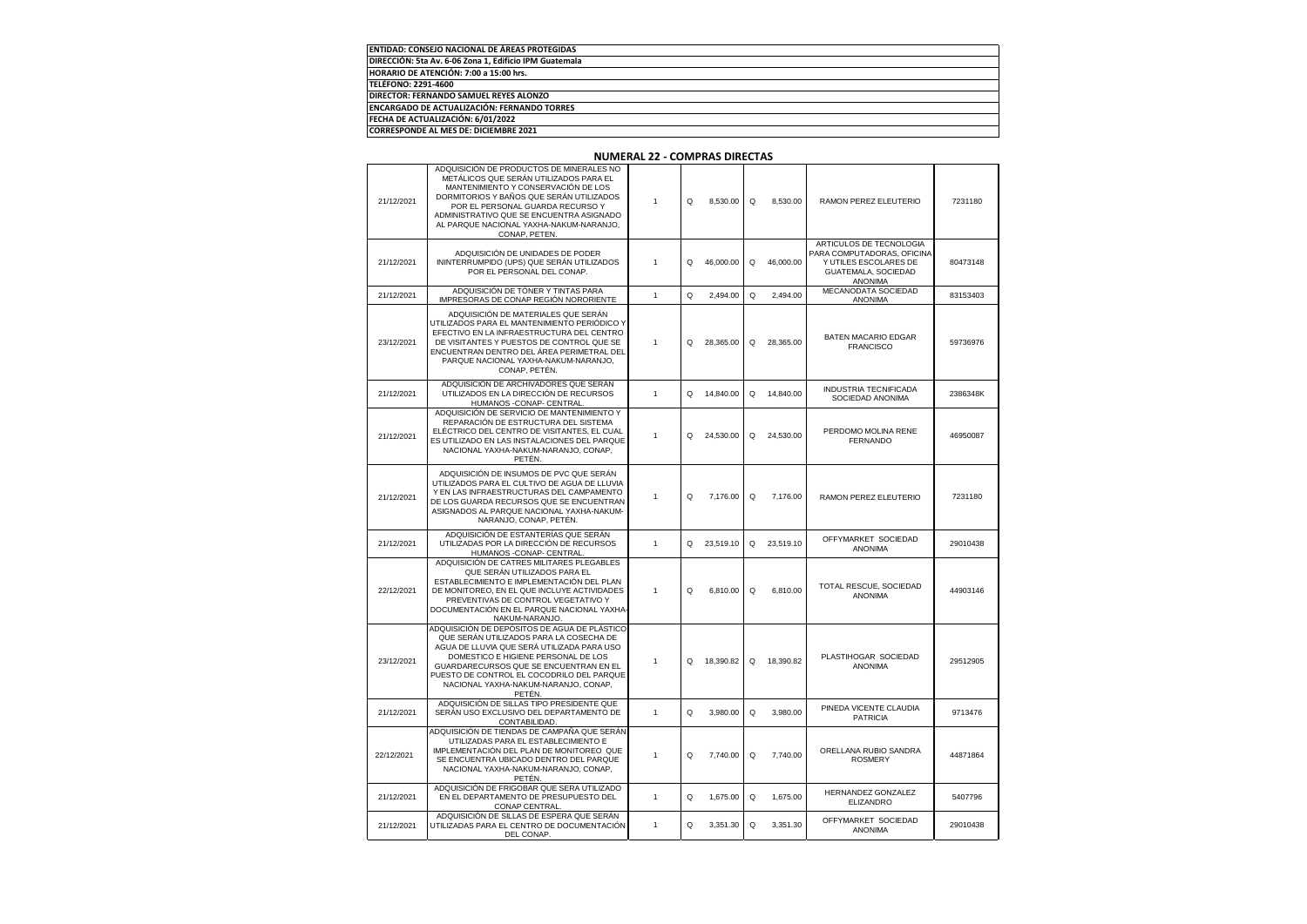| <b>ENTIDAD: CONSEJO NACIONAL DE ÁREAS PROTEGIDAS</b>   |  |
|--------------------------------------------------------|--|
| DIRECCIÓN: 5ta Av. 6-06 Zona 1. Edificio IPM Guatemala |  |
| HORARIO DE ATENCIÓN: 7:00 a 15:00 hrs.                 |  |
| TELÉFONO: 2291-4600                                    |  |
| DIRECTOR: FERNANDO SAMUEL REYES ALONZO                 |  |
| <b>ENCARGADO DE ACTUALIZACIÓN: FERNANDO TORRES</b>     |  |
| FECHA DE ACTUALIZACIÓN: 6/01/2022                      |  |
| CORRESPONDE AL MES DE: DICIEMBRE 2021                  |  |

| 21/12/2021 | ADQUISICIÓN DE PRODUCTOS DE MINERALES NO<br>METALICOS QUE SERAN UTILIZADOS PARA EL<br>MANTENIMIENTO Y CONSERVACIÓN DE LOS<br>DORMITORIOS Y BAÑOS QUE SERAN UTILIZADOS<br>POR EL PERSONAL GUARDA RECURSO Y<br>ADMINISTRATIVO QUE SE ENCUENTRA ASIGNADO<br>AL PARQUE NACIONAL YAXHA-NAKUM-NARANJO.<br>CONAP, PETEN.     | 1            | Q | 8,530.00  | Q | 8,530.00  | RAMON PEREZ ELEUTERIO                                                                                            | 7231180  |
|------------|-----------------------------------------------------------------------------------------------------------------------------------------------------------------------------------------------------------------------------------------------------------------------------------------------------------------------|--------------|---|-----------|---|-----------|------------------------------------------------------------------------------------------------------------------|----------|
| 21/12/2021 | ADQUISICIÓN DE UNIDADES DE PODER<br>ININTERRUMPIDO (UPS) QUE SERÁN UTILIZADOS<br>POR EL PERSONAL DEL CONAP.                                                                                                                                                                                                           | 1            | Q | 46,000.00 | Q | 46,000.00 | ARTICULOS DE TECNOLOGIA<br>PARA COMPUTADORAS, OFICINA<br>Y UTILES ESCOLARES DE<br>GUATEMALA, SOCIEDAD<br>ANONIMA | 80473148 |
| 21/12/2021 | ADQUISICIÓN DE TÓNER Y TINTAS PARA<br>IMPRESORAS DE CONAP REGIÓN NORORIENTE                                                                                                                                                                                                                                           | $\mathbf{1}$ | Q | 2.494.00  | Q | 2.494.00  | MECANODATA SOCIEDAD<br>ANONIMA                                                                                   | 83153403 |
| 23/12/2021 | ADQUISICIÓN DE MATERIALES QUE SERÁN<br>UTILIZADOS PARA EL MANTENIMIENTO PERIÓDICO Y<br>EFECTIVO EN LA INFRAESTRUCTURA DEL CENTRO<br>DE VISITANTES Y PUESTOS DE CONTROL QUE SE<br>ENCUENTRAN DENTRO DEL AREA PERIMETRAL DEI<br>PARQUE NACIONAL YAXHA-NAKUM-NARANJO,<br>CONAP, PETÉN.                                   | 1            | O | 28,365.00 | Q | 28,365.00 | <b>BATEN MACARIO EDGAR</b><br><b>FRANCISCO</b>                                                                   | 59736976 |
| 21/12/2021 | ADQUISICIÓN DE ARCHIVADORES QUE SERÁN<br>UTILIZADOS EN LA DIRECCIÓN DE RECURSOS<br>HUMANOS - CONAP - CENTRAL                                                                                                                                                                                                          | 1            | Q | 14,840.00 | Q | 14,840.00 | <b>INDUSTRIA TECNIFICADA</b><br>SOCIEDAD ANONIMA                                                                 | 2386348K |
| 21/12/2021 | ADQUISICIÓN DE SERVICIO DE MANTENIMIENTO Y<br>REPARACIÓN DE ESTRUCTURA DEL SISTEMA<br>ELÉCTRICO DEL CENTRO DE VISITANTES, EL CUAL<br>ES UTILIZADO EN LAS INSTALACIONES DEL PARQUE<br>NACIONAL YAXHA-NAKUM-NARANJO, CONAP,<br>PETÉN.                                                                                   | 1            | O | 24,530.00 | Q | 24,530.00 | PERDOMO MOLINA RENE<br><b>FERNANDO</b>                                                                           | 46950087 |
| 21/12/2021 | ADQUISICIÓN DE INSUMOS DE PVC QUE SERÁN<br>UTILIZADOS PARA EL CULTIVO DE AGUA DE LLUVIA<br>Y EN LAS INFRAESTRUCTURAS DEL CAMPAMENTO<br>DE LOS GUARDA RECURSOS QUE SE ENCUENTRAN<br>ASIGNADOS AL PARQUE NACIONAL YAXHA-NAKUM-<br>NARANJO, CONAP, PETÉN.                                                                | 1            | Q | 7,176.00  | Q | 7,176.00  | RAMON PEREZ ELEUTERIO                                                                                            | 7231180  |
| 21/12/2021 | ADQUISICIÓN DE ESTANTERÍAS QUE SERÁN<br>UTILIZADAS POR LA DIRECCIÓN DE RECURSOS<br>HUMANOS - CONAP - CENTRAL                                                                                                                                                                                                          | 1            | Q | 23,519.10 | Q | 23,519.10 | OFFYMARKET SOCIEDAD<br>ANONIMA                                                                                   | 29010438 |
| 22/12/2021 | ADQUISICIÓN DE CATRES MILITARES PLEGABLES<br>QUE SERÁN UTILIZADOS PARA EL<br>ESTABLECIMIENTO E IMPLEMENTACIÓN DEL PLAN<br>DE MONITOREO, EN EL QUE INCLUYE ACTIVIDADES<br>PREVENTIVAS DE CONTROL VEGETATIVO Y<br>DOCUMENTACIÓN EN EL PARQUE NACIONAL YAXHA-<br>NAKUM-NARANJO.                                          | 1            | Q | 6,810.00  | Q | 6,810.00  | TOTAL RESCUE, SOCIEDAD<br><b>ANONIMA</b>                                                                         | 44903146 |
| 23/12/2021 | ADQUISICIÓN DE DEPÓSITOS DE AGUA DE PLÁSTICO<br>QUE SERÁN UTILIZADOS PARA LA COSECHA DE<br>AGUA DE LLUVIA QUE SERÁ UTILIZADA PARA USO<br>DOMESTICO E HIGIENE PERSONAL DE LOS<br>GUARDARECURSOS QUE SE ENCUENTRAN EN EL<br>PUESTO DE CONTROL EL COCODRILO DEL PARQUE<br>NACIONAL YAXHA-NAKUM-NARANJO, CONAP,<br>PETÉN. | 1            | O | 18,390.82 | Q | 18,390.82 | PLASTIHOGAR SOCIEDAD<br>ANONIMA                                                                                  | 29512905 |
| 21/12/2021 | ADQUISICIÓN DE SILLAS TIPO PRESIDENTE QUE<br>SERÁN USO EXCLUSIVO DEL DEPARTAMENTO DE<br>CONTABILIDAD.                                                                                                                                                                                                                 | $\mathbf{1}$ | Q | 3,980.00  | Q | 3,980.00  | PINEDA VICENTE CLAUDIA<br><b>PATRICIA</b>                                                                        | 9713476  |
| 22/12/2021 | ADQUISICIÓN DE TIENDAS DE CAMPAÑA QUE SERÁN<br>UTILIZADAS PARA EL ESTABLECIMIENTO E<br>IMPLEMENTACIÓN DEL PLAN DE MONITOREO QUE<br>SE ENCUENTRA UBICADO DENTRO DEL PARQUE<br>NACIONAL YAXHA-NAKUM-NARANJO, CONAP,<br>PETÉN.                                                                                           | 1            | Q | 7,740.00  | Q | 7,740.00  | ORELLANA RUBIO SANDRA<br><b>ROSMERY</b>                                                                          | 44871864 |
| 21/12/2021 | ADQUISICIÓN DE FRIGOBAR QUE SERA UTILIZADO<br>EN EL DEPARTAMENTO DE PRESUPUESTO DEL<br><b>CONAP CENTRAL</b>                                                                                                                                                                                                           | 1            | Q | 1,675.00  | Q | 1,675.00  | HERNANDEZ GONZALEZ<br><b>ELIZANDRO</b>                                                                           | 5407796  |
| 21/12/2021 | ADQUISICIÓN DE SILLAS DE ESPERA QUE SERAN<br>UTILIZADAS PARA EL CENTRO DE DOCUMENTACIÓN<br>DEL CONAP.                                                                                                                                                                                                                 | 1            | Q | 3,351.30  | Q | 3,351.30  | OFFYMARKET SOCIEDAD<br>ANONIMA                                                                                   | 29010438 |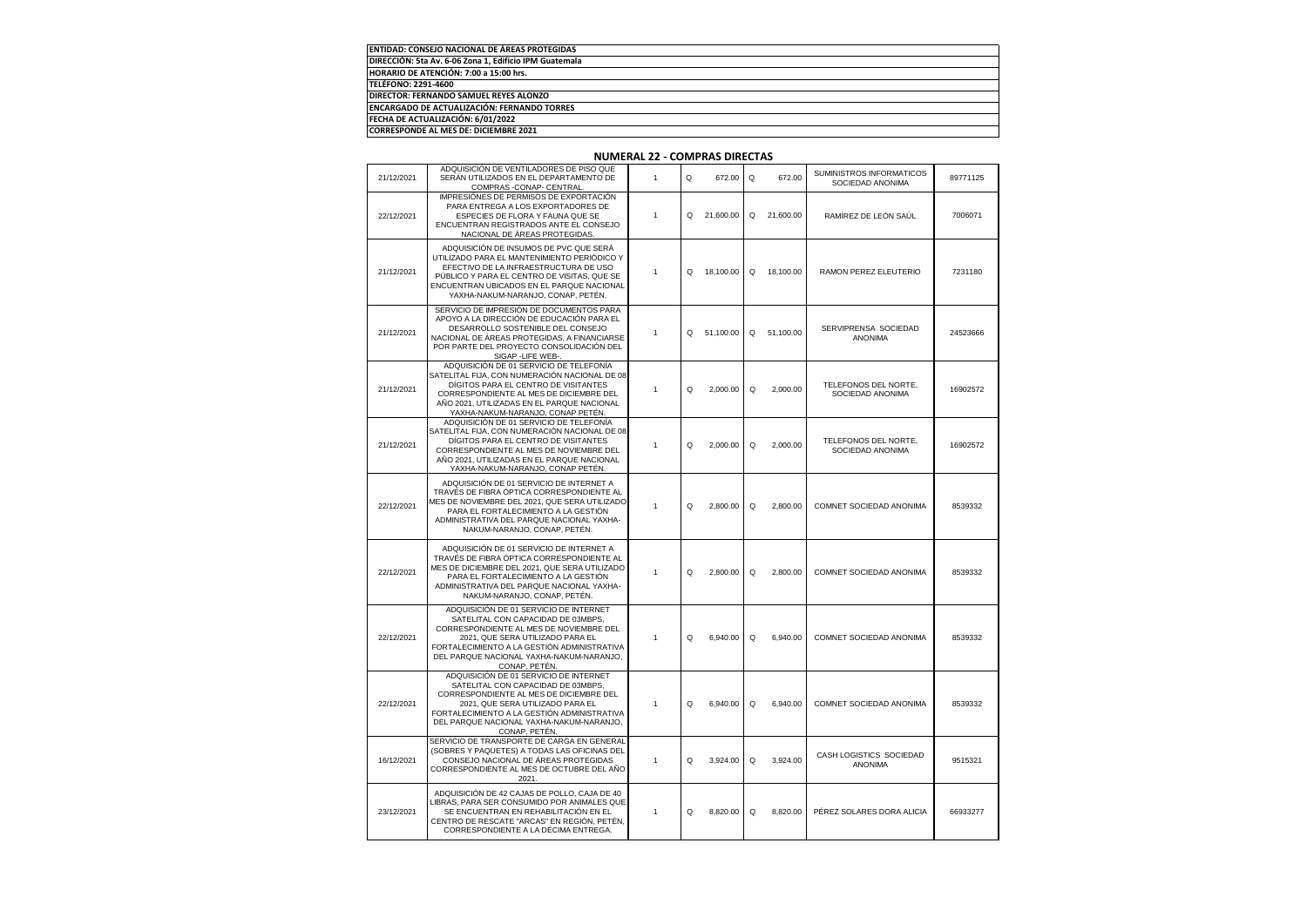| ENTIDAD: CONSEJO NACIONAL DE ÁREAS PROTEGIDAS          |
|--------------------------------------------------------|
| DIRECCIÓN: 5ta Av. 6-06 Zona 1, Edificio IPM Guatemala |
| HORARIO DE ATENCIÓN: 7:00 a 15:00 hrs.                 |
| TELÉFONO: 2291-4600                                    |
| <b>DIRECTOR: FERNANDO SAMUEL REYES ALONZO</b>          |
| <b>ENCARGADO DE ACTUALIZACIÓN: FERNANDO TORRES</b>     |
| FECHA DE ACTUALIZACIÓN: 6/01/2022                      |
| <b>CORRESPONDE AL MES DE: DICIEMBRE 2021</b>           |

#### 21/12/2021 ADQUISICIÓN DE VENTILADORES DE PISO QUE SERÁN UTILIZADOS EN EL DEPARTAMENTO DE COMPRAS -CONAP- CENTRAL. 1 Q 672.00 Q 672.00 SUMINISTROS INFORMATICOS 1INISTROS INFORMATICOS 89771125<br>SOCIEDAD ANONIMA 22/12/2021 IMPRESIÓNES DE PERMISOS DE EXPORTACIÓN PARA ENTREGA A LOS EXPORTADORES DE ESPECIES DE FLORA Y FAUNA QUE SE ENCUENTRAN REGISTRADOS ANTE EL CONSEJO NACIONAL DE ÁREAS PROTEGIDAS. 1 Q 21,600.00 Q 21,600.00 RAMÍREZ DE LEÓN SAÚL 7006071 21/12/2021 ADQUISICIÓN DE INSUMOS DE PVC QUE SERÁ UTILIZADO PARA EL MANTENIMIENTO PERIÓDICO Y EFECTIVO DE LA INFRAESTRUCTURA DE USO PÚBLICO Y PARA EL CENTRO DE VISITAS, QUE SE ENCUENTRAN UBICADOS EN EL PARQUE NACIONAL YAXHA-NAKUM-NARANJO, CONAP, PETÉN. 1 Q 18,100.00 Q 18,100.00 RAMON PEREZ ELEUTERIO 7231180 21/12/2021 SERVICIO DE IMPRESIÓN DE DOCUMENTOS PAR APOYO A LA DIRECCIÓN DE EDUCACIÓN PARA EL DESARROLLO SOSTENIBLE DEL CONSEJO NACIONAL DE ÁREAS PROTEGIDAS, A FINANCIARSE POR PARTE DEL PROYECTO CONSOLIDACIÓN DEL SIGAP -LIFE WEB-. 1 Q 51,100.00 Q 51,100.00 SERVIPRENSA SOCIEDAD RENSA SOCIEDAD 24523666<br>ANONIMA 21/12/2021 ADQUISICIÓN DE 01 SERVICIO DE TELEFONÍA SATELITAL FIJA, CON NUMERACIÓN NACIONAL DE 08 DÍGITOS PARA EL CENTRO DE VISITANTES CORRESPONDIENTE AL MES DE DICIEMBRE DEL AÑO 2021, UTILIZADAS EN EL PARQUE NACIONAL YAXHA-NAKUM-NARANJO, CONAP PETÉN. <sup>1</sup> Q 2,000.00 Q 2,000.00 TELEFONOS DEL NORTE, ELEFONOS DEL NORTE,<br>SOCIEDAD ANONIMA 21/12/2021 ADQUISICIÓN DE 01 SERVICIO DE TELEFONÍA ATELITAL FIJA, CON NUMERACIÓN NACIONAL DE 08 DÍGITOS PARA EL CENTRO DE VISITANTES CORRESPONDIENTE AL MES DE NOVIEMBRE DEL AÑO 2021, UTILIZADAS EN EL PARQUE NACIONAL YAXHA-NAKUM-NARANJO, CONAP PETÉN. <sup>1</sup> Q 2,000.00 Q 2,000.00 TELEFONOS DEL NORTE, ELEFONOS DEL NORTE, 16902572<br>SOCIEDAD ANONIMA 22/12/2021 ADQUISICIÓN DE 01 SERVICIO DE INTERNET A TRAVÉS DE FIBRA ÓPTICA CORRESPONDIENTE AL MES DE NOVIEMBRE DEL 2021, QUE SERA UTILIZADO PARA EL FORTALECIMIENTO A LA GESTIÓN ADMINISTRATIVA DEL PARQUE NACIONAL YAXHA-NAKUM-NARANJO, CONAP, PETÉN. 1 Q 2,800.00 Q 2,800.00 COMNET SOCIEDAD ANONIMA 8539332 22/12/2021 ADQUISICIÓN DE 01 SERVICIO DE INTERNET A TRAVÉS DE FIBRA ÓPTICA CORRESPONDIENTE AL MES DE DICIEMBRE DEL 2021, QUE SERA UTILIZADO PARA EL FORTALECIMIENTO A LA GESTIÓN ADMINISTRATIVA DEL PARQUE NACIONAL YAXHA-NAKUM-NARANJO, CONAP, PETÉN. 1 Q 2,800.00 Q 2,800.00 COMNET SOCIEDAD ANONIMA 8539332 22/12/2021 ADQUISICIÓN DE 01 SERVICIO DE INTERNET SATELITAL CON CAPACIDAD DE 03MBPS. CORRESPONDIENTE AL MES DE NOVIEMBRE DEL 2021, QUE SERA UTILIZADO PARA EL FORTALECIMIENTO A LA GESTIÓN ADMINISTRATIVA DEL PARQUE NACIONAL YAXHA-NAKUM-NARANJO, CONAP, PETÉN. 1 Q 6,940.00 Q 6,940.00 COMNET SOCIEDAD ANONIMA 8539332 22/12/2021 ADQUISICIÓN DE 01 SERVICIO DE INTERNET SATELITAL CON CAPACIDAD DE 03MBPS CORRESPONDIENTE AL MES DE DICIEMBRE DEL 2021, QUE SERA UTILIZADO PARA EL FORTALECIMIENTO A LA GESTIÓN ADMINISTRATIVA DEL PARQUE NACIONAL YAXHA-NAKUM-NARANJO, CONAP PETÉN. 1 Q 6,940.00 Q 6,940.00 COMNET SOCIEDAD ANONIMA 8539332 16/12/2021 SERVICIO DE TRANSPORTE DE CARGA EN GENERA (SOBRES Y PAQUETES) A TODAS LAS OFICINAS DEL CONSEJO NACIONAL DE ÁREAS PROTEGIDAS CORRESPONDIENTE AL MES DE OCTUBRE DEL AÑO 2021. 1 Q 3,924.00 Q 3,924.00 CASH LOGISTICS SOCIEDAD 9515321 23/12/2021 ADQUISICIÓN DE 42 CAJAS DE POLLO, CAJA DE 40 LIBRAS, PARA SER CONSUMIDO POR ANIMALES QUE SE ENCUENTRAN EN REHABILITACIÓN EN EL CENTRO DE RESCATE "ARCAS" EN REGIÓN, PETÉN, CORRESPONDIENTE A LA DÉCIMA ENTREGA. 1 Q 8,820.00 Q 8,820.00 PÉREZ SOLARES DORA ALICIA 66933277